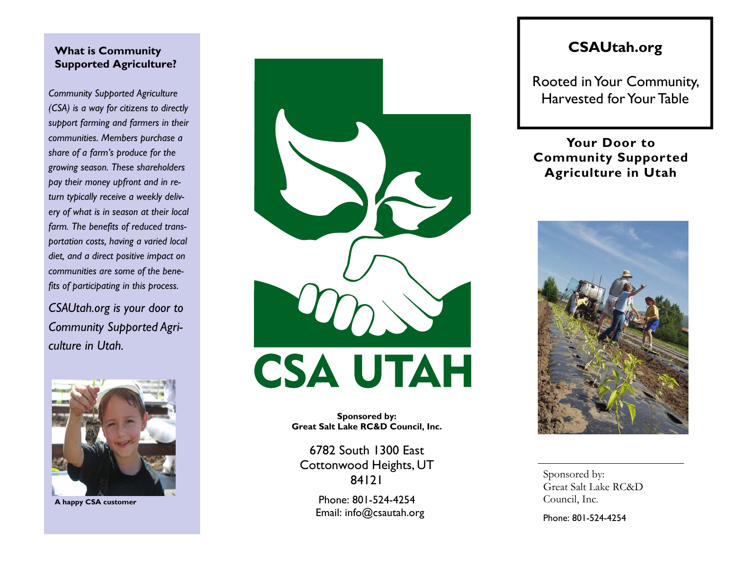### **What is Community Supported Agriculture?**

*Community Supported Agriculture (CSA) is a way for citizens to directly support farming and farmers in their communities. Members purchase a share of a farm's produce for the growing season. These shareholders pay their money upfront and in return typically receive a weekly delivery of what is in season at their local farm. The benefits of reduced transportation costs, having a varied local diet, and a direct positive impact on communities are some of the benefits of participating in this process.* 

*CSAUtah.org is your door to Community Supported Agriculture in Utah.* 



**A happy CSA customer** 



**Sponsored by: Great Salt Lake RC&D Council, Inc.** 

6782 South 1300 East Cottonwood Heights, UT 84121

> Phone: 801-524-4254 Email: info@csautah.org

## **CSAUtah.org**

Rooted in Your Community, Harvested for Your Table

### **Your Door to Community Supported Agriculture in Utah**



Sponsored by: Great Salt Lake RC&D Council, Inc.

Phone: 801-524-4254